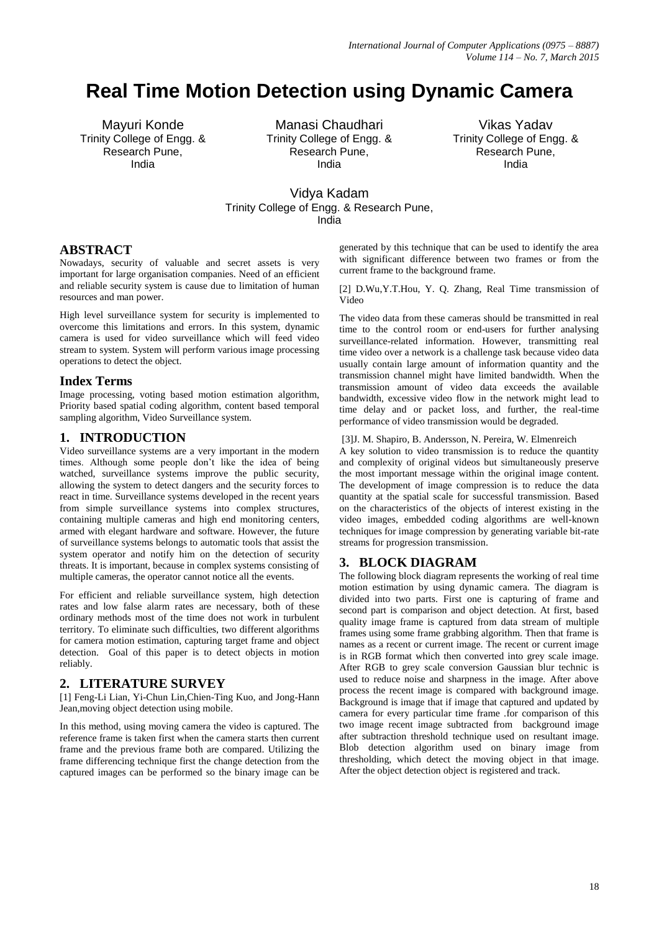# **Real Time Motion Detection using Dynamic Camera**

Mayuri Konde Trinity College of Engg. & Research Pune, India

Manasi Chaudhari Trinity College of Engg. & Research Pune, India

Vikas Yadav Trinity College of Engg. & Research Pune, India

# Vidya Kadam Trinity College of Engg. & Research Pune, India

## **ABSTRACT**

Nowadays, security of valuable and secret assets is very important for large organisation companies. Need of an efficient and reliable security system is cause due to limitation of human resources and man power.

High level surveillance system for security is implemented to overcome this limitations and errors. In this system, dynamic camera is used for video surveillance which will feed video stream to system. System will perform various image processing operations to detect the object.

## **Index Terms**

Image processing, voting based motion estimation algorithm, Priority based spatial coding algorithm, content based temporal sampling algorithm, Video Surveillance system.

## **1. INTRODUCTION**

Video surveillance systems are a very important in the modern times. Although some people don't like the idea of being watched, surveillance systems improve the public security, allowing the system to detect dangers and the security forces to react in time. Surveillance systems developed in the recent years from simple surveillance systems into complex structures, containing multiple cameras and high end monitoring centers, armed with elegant hardware and software. However, the future of surveillance systems belongs to automatic tools that assist the system operator and notify him on the detection of security threats. It is important, because in complex systems consisting of multiple cameras, the operator cannot notice all the events.

For efficient and reliable surveillance system, high detection rates and low false alarm rates are necessary, both of these ordinary methods most of the time does not work in turbulent territory. To eliminate such difficulties, two different algorithms for camera motion estimation, capturing target frame and object detection. Goal of this paper is to detect objects in motion reliably.

## **2. LITERATURE SURVEY**

[1] Feng-Li Lian, Yi-Chun Lin,Chien-Ting Kuo, and Jong-Hann Jean,moving object detection using mobile.

In this method, using moving camera the video is captured. The reference frame is taken first when the camera starts then current frame and the previous frame both are compared. Utilizing the frame differencing technique first the change detection from the captured images can be performed so the binary image can be

generated by this technique that can be used to identify the area with significant difference between two frames or from the current frame to the background frame.

[2] D.Wu,Y.T.Hou, Y. Q. Zhang, Real Time transmission of Video

The video data from these cameras should be transmitted in real time to the control room or end-users for further analysing surveillance-related information. However, transmitting real time video over a network is a challenge task because video data usually contain large amount of information quantity and the transmission channel might have limited bandwidth. When the transmission amount of video data exceeds the available bandwidth, excessive video flow in the network might lead to time delay and or packet loss, and further, the real-time performance of video transmission would be degraded.

[3]J. M. Shapiro, B. Andersson, N. Pereira, W. Elmenreich

A key solution to video transmission is to reduce the quantity and complexity of original videos but simultaneously preserve the most important message within the original image content. The development of image compression is to reduce the data quantity at the spatial scale for successful transmission. Based on the characteristics of the objects of interest existing in the video images, embedded coding algorithms are well-known techniques for image compression by generating variable bit-rate streams for progression transmission.

## **3. BLOCK DIAGRAM**

The following block diagram represents the working of real time motion estimation by using dynamic camera. The diagram is divided into two parts. First one is capturing of frame and second part is comparison and object detection. At first, based quality image frame is captured from data stream of multiple frames using some frame grabbing algorithm. Then that frame is names as a recent or current image. The recent or current image is in RGB format which then converted into grey scale image. After RGB to grey scale conversion Gaussian blur technic is used to reduce noise and sharpness in the image. After above process the recent image is compared with background image. Background is image that if image that captured and updated by camera for every particular time frame .for comparison of this two image recent image subtracted from background image after subtraction threshold technique used on resultant image. Blob detection algorithm used on binary image from thresholding, which detect the moving object in that image. After the object detection object is registered and track.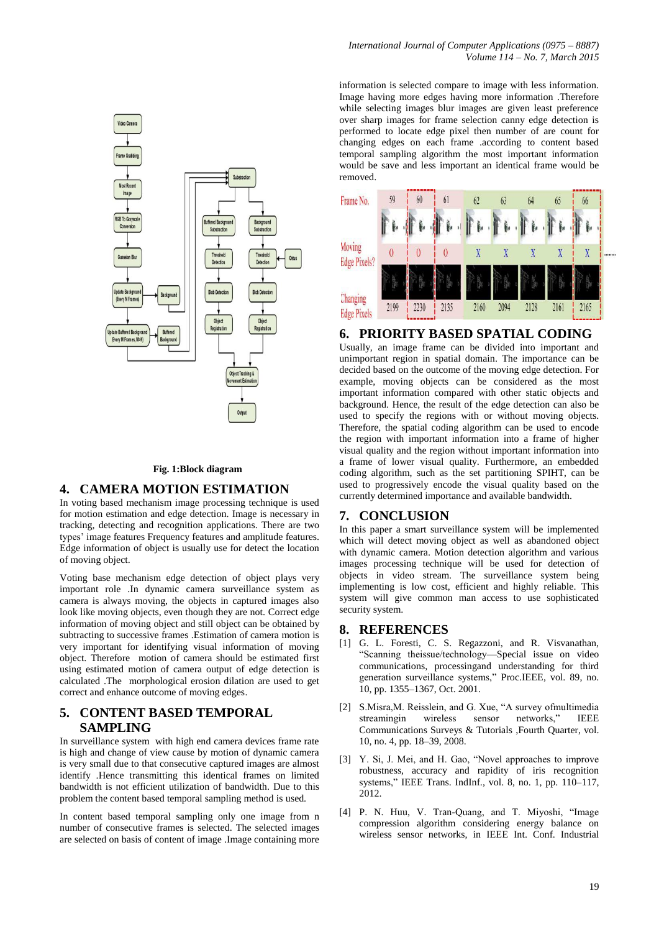

#### **Fig. 1:Block diagram**

## **4. CAMERA MOTION ESTIMATION**

In voting based mechanism image processing technique is used for motion estimation and edge detection. Image is necessary in tracking, detecting and recognition applications. There are two types' image features Frequency features and amplitude features. Edge information of object is usually use for detect the location of moving object.

Voting base mechanism edge detection of object plays very important role .In dynamic camera surveillance system as camera is always moving, the objects in captured images also look like moving objects, even though they are not. Correct edge information of moving object and still object can be obtained by subtracting to successive frames .Estimation of camera motion is very important for identifying visual information of moving object. Therefore motion of camera should be estimated first using estimated motion of camera output of edge detection is calculated .The morphological erosion dilation are used to get correct and enhance outcome of moving edges.

## **5. CONTENT BASED TEMPORAL SAMPLING**

In surveillance system with high end camera devices frame rate is high and change of view cause by motion of dynamic camera is very small due to that consecutive captured images are almost identify .Hence transmitting this identical frames on limited bandwidth is not efficient utilization of bandwidth. Due to this problem the content based temporal sampling method is used.

In content based temporal sampling only one image from n number of consecutive frames is selected. The selected images are selected on basis of content of image .Image containing more

information is selected compare to image with less information. Image having more edges having more information .Therefore while selecting images blur images are given least preference over sharp images for frame selection canny edge detection is performed to locate edge pixel then number of are count for changing edges on each frame .according to content based temporal sampling algorithm the most important information would be save and less important an identical frame would be removed.



#### **6. PRIORITY BASED SPATIAL CODING**

Usually, an image frame can be divided into important and unimportant region in spatial domain. The importance can be decided based on the outcome of the moving edge detection. For example, moving objects can be considered as the most important information compared with other static objects and background. Hence, the result of the edge detection can also be used to specify the regions with or without moving objects. Therefore, the spatial coding algorithm can be used to encode the region with important information into a frame of higher visual quality and the region without important information into a frame of lower visual quality. Furthermore, an embedded coding algorithm, such as the set partitioning SPIHT, can be used to progressively encode the visual quality based on the currently determined importance and available bandwidth.

## **7. CONCLUSION**

In this paper a smart surveillance system will be implemented which will detect moving object as well as abandoned object with dynamic camera. Motion detection algorithm and various images processing technique will be used for detection of objects in video stream. The surveillance system being implementing is low cost, efficient and highly reliable. This system will give common man access to use sophisticated security system.

#### **8. REFERENCES**

- [1] G. L. Foresti, C. S. Regazzoni, and R. Visvanathan, ―Scanning theissue/technology—Special issue on video communications, processingand understanding for third generation surveillance systems." Proc.IEEE, vol. 89, no. 10, pp. 1355–1367, Oct. 2001.
- [2] S.Misra, M. Reisslein, and G. Xue, "A survey of multimedia streamingin wireless sensor networks," IEEE Communications Surveys & Tutorials ,Fourth Quarter, vol. 10, no. 4, pp. 18–39, 2008.
- [3] Y. Si, J. Mei, and H. Gao, "Novel approaches to improve robustness, accuracy and rapidity of iris recognition systems," IEEE Trans. IndInf., vol. 8, no. 1, pp. 110–117, 2012.
- [4] P. N. Huu, V. Tran-Quang, and T. Miyoshi, "Image compression algorithm considering energy balance on wireless sensor networks, in IEEE Int. Conf. Industrial